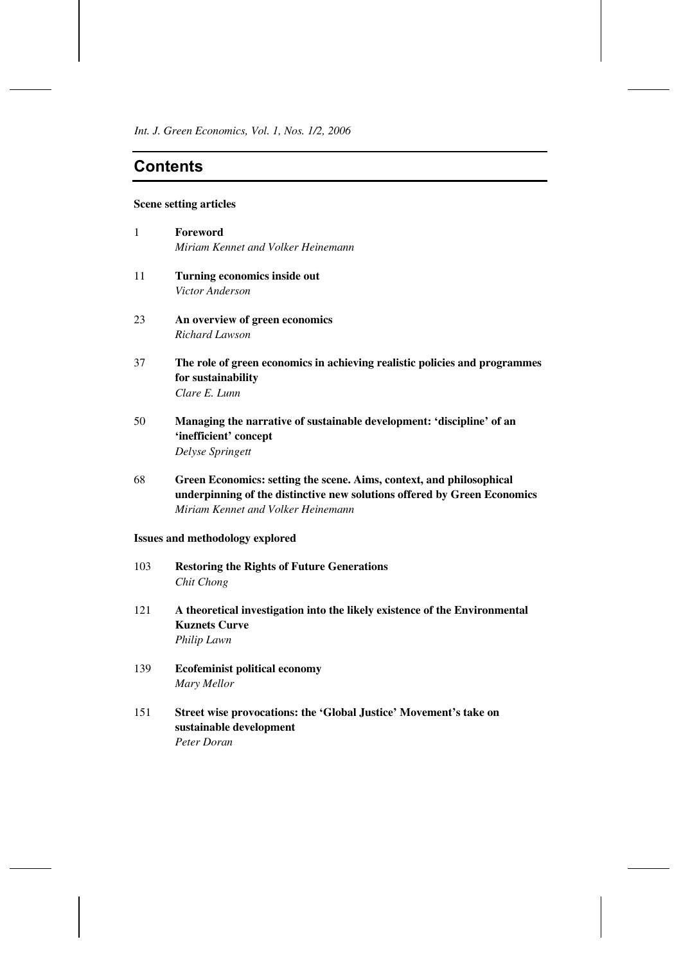*Int. J. Green Economics, Vol. 1, Nos. 1/2, 2006*

# **Contents**

### **Scene setting articles**

| 1  | Foreword<br>Miriam Kennet and Volker Heinemann                             |
|----|----------------------------------------------------------------------------|
| 11 | Turning economics inside out                                               |
|    | <i>Victor Anderson</i>                                                     |
| 23 | An overview of green economics                                             |
|    | Richard Lawson                                                             |
| 37 | The role of green economics in achieving realistic policies and programmes |
|    | for sustainability                                                         |
|    | Clare E. Lunn                                                              |

- 50 **Managing the narrative of sustainable development: 'discipline' of an 'inefficient' concept**  *Delyse Springett*
- 68 **Green Economics: setting the scene. Aims, context, and philosophical underpinning of the distinctive new solutions offered by Green Economics** *Miriam Kennet and Volker Heinemann*

# **Issues and methodology explored**

- 103 **Restoring the Rights of Future Generations** *Chit Chong*
- 121 **A theoretical investigation into the likely existence of the Environmental Kuznets Curve** *Philip Lawn*
- 139 **Ecofeminist political economy** *Mary Mellor*
- 151 **Street wise provocations: the 'Global Justice' Movement's take on sustainable development** *Peter Doran*